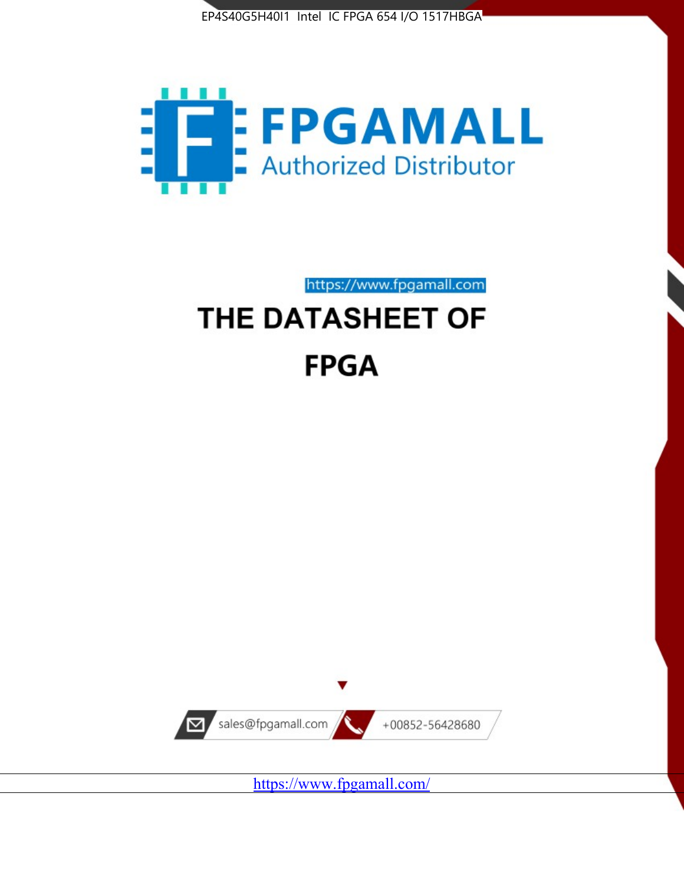



https://www.fpgamall.com THE DATASHEET OF

# **FPGA**



<https://www.fpgamall.com/>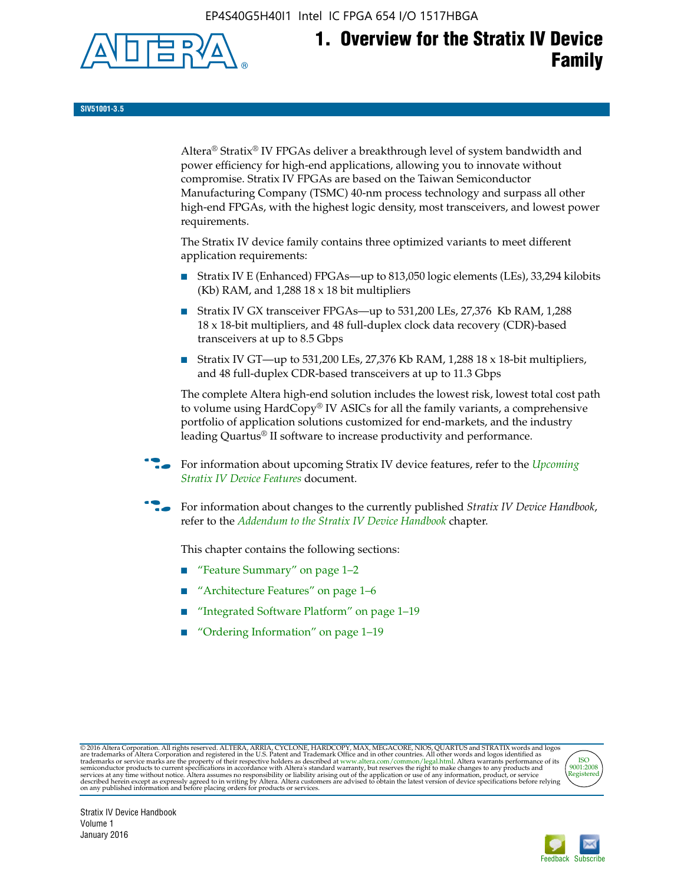EP4S40G5H40I1 Intel IC FPGA 654 I/O 1517HBGA



**SIV51001-3.5**

Altera® Stratix® IV FPGAs deliver a breakthrough level of system bandwidth and power efficiency for high-end applications, allowing you to innovate without compromise. Stratix IV FPGAs are based on the Taiwan Semiconductor Manufacturing Company (TSMC) 40-nm process technology and surpass all other high-end FPGAs, with the highest logic density, most transceivers, and lowest power requirements.

The Stratix IV device family contains three optimized variants to meet different application requirements:

- Stratix IV E (Enhanced) FPGAs—up to 813,050 logic elements (LEs), 33,294 kilobits (Kb) RAM, and 1,288 18 x 18 bit multipliers
- Stratix IV GX transceiver FPGAs—up to 531,200 LEs, 27,376 Kb RAM, 1,288 18 x 18-bit multipliers, and 48 full-duplex clock data recovery (CDR)-based transceivers at up to 8.5 Gbps
- Stratix IV GT—up to 531,200 LEs, 27,376 Kb RAM, 1,288 18 x 18-bit multipliers, and 48 full-duplex CDR-based transceivers at up to 11.3 Gbps

The complete Altera high-end solution includes the lowest risk, lowest total cost path to volume using HardCopy® IV ASICs for all the family variants, a comprehensive portfolio of application solutions customized for end-markets, and the industry leading Quartus® II software to increase productivity and performance.

For information about upcoming Stratix IV device features, refer to the *Upcoming [Stratix IV Device Features](http://www.altera.com/literature/hb/stratix-iv/uf01001.pdf?GSA_pos=2&WT.oss_r=1&WT.oss=upcoming)* document.

f For information about changes to the currently published *Stratix IV Device Handbook*, refer to the *[Addendum to the Stratix IV Device Handbook](http://www.altera.com/literature/hb/stratix-iv/stx4_siv54002.pdf)* chapter.

This chapter contains the following sections:

- "Feature Summary" on page 1–2
- "Architecture Features" on page 1–6
- "Integrated Software Platform" on page 1–19
- "Ordering Information" on page 1–19

@2016 Altera Corporation. All rights reserved. ALTERA, ARRIA, CYCLONE, HARDCOPY, MAX, MEGACORE, NIOS, QUARTUS and STRATIX words and logos are trademarks of Altera Corporation and registered in the U.S. Patent and Trademark



Stratix IV Device Handbook Volume 1 January 2016

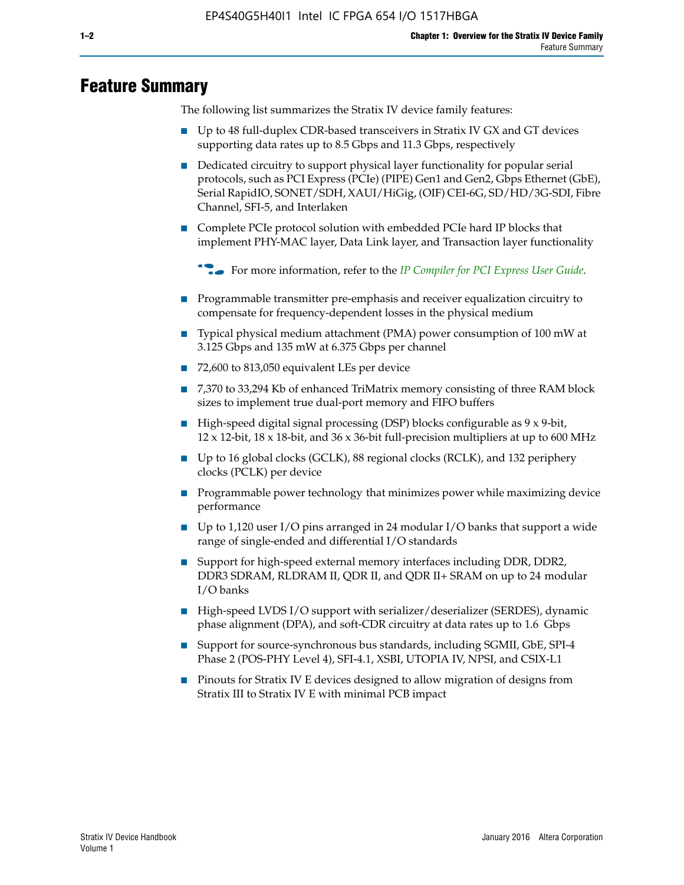# **Feature Summary**

The following list summarizes the Stratix IV device family features:

- Up to 48 full-duplex CDR-based transceivers in Stratix IV GX and GT devices supporting data rates up to 8.5 Gbps and 11.3 Gbps, respectively
- Dedicated circuitry to support physical layer functionality for popular serial protocols, such as PCI Express (PCIe) (PIPE) Gen1 and Gen2, Gbps Ethernet (GbE), Serial RapidIO, SONET/SDH, XAUI/HiGig, (OIF) CEI-6G, SD/HD/3G-SDI, Fibre Channel, SFI-5, and Interlaken
- Complete PCIe protocol solution with embedded PCIe hard IP blocks that implement PHY-MAC layer, Data Link layer, and Transaction layer functionality

**For more information, refer to the** *[IP Compiler for PCI Express User Guide](http://www.altera.com/literature/ug/ug_pci_express.pdf)***.** 

- Programmable transmitter pre-emphasis and receiver equalization circuitry to compensate for frequency-dependent losses in the physical medium
- Typical physical medium attachment (PMA) power consumption of 100 mW at 3.125 Gbps and 135 mW at 6.375 Gbps per channel
- 72,600 to 813,050 equivalent LEs per device
- 7,370 to 33,294 Kb of enhanced TriMatrix memory consisting of three RAM block sizes to implement true dual-port memory and FIFO buffers
- High-speed digital signal processing (DSP) blocks configurable as 9 x 9-bit,  $12 \times 12$ -bit,  $18 \times 18$ -bit, and  $36 \times 36$ -bit full-precision multipliers at up to 600 MHz
- Up to 16 global clocks (GCLK), 88 regional clocks (RCLK), and 132 periphery clocks (PCLK) per device
- Programmable power technology that minimizes power while maximizing device performance
- Up to 1,120 user I/O pins arranged in 24 modular I/O banks that support a wide range of single-ended and differential I/O standards
- Support for high-speed external memory interfaces including DDR, DDR2, DDR3 SDRAM, RLDRAM II, QDR II, and QDR II+ SRAM on up to 24 modular I/O banks
- High-speed LVDS I/O support with serializer/deserializer (SERDES), dynamic phase alignment (DPA), and soft-CDR circuitry at data rates up to 1.6 Gbps
- Support for source-synchronous bus standards, including SGMII, GbE, SPI-4 Phase 2 (POS-PHY Level 4), SFI-4.1, XSBI, UTOPIA IV, NPSI, and CSIX-L1
- Pinouts for Stratix IV E devices designed to allow migration of designs from Stratix III to Stratix IV E with minimal PCB impact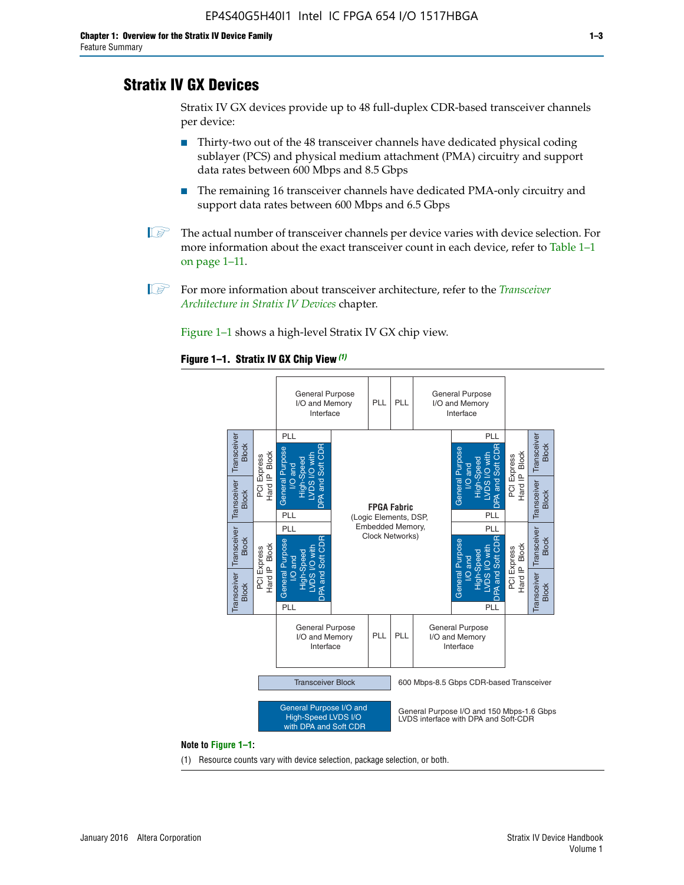# **Stratix IV GX Devices**

Stratix IV GX devices provide up to 48 full-duplex CDR-based transceiver channels per device:

- Thirty-two out of the 48 transceiver channels have dedicated physical coding sublayer (PCS) and physical medium attachment (PMA) circuitry and support data rates between 600 Mbps and 8.5 Gbps
- The remaining 16 transceiver channels have dedicated PMA-only circuitry and support data rates between 600 Mbps and 6.5 Gbps
- **1 The actual number of transceiver channels per device varies with device selection. For** more information about the exact transceiver count in each device, refer to Table 1–1 on page 1–11.
- 1 For more information about transceiver architecture, refer to the *[Transceiver](http://www.altera.com/literature/hb/stratix-iv/stx4_siv52001.pdf)  [Architecture in Stratix IV Devices](http://www.altera.com/literature/hb/stratix-iv/stx4_siv52001.pdf)* chapter.

Figure 1–1 shows a high-level Stratix IV GX chip view.

#### **Figure 1–1. Stratix IV GX Chip View** *(1)*



#### **Note to Figure 1–1:**

(1) Resource counts vary with device selection, package selection, or both.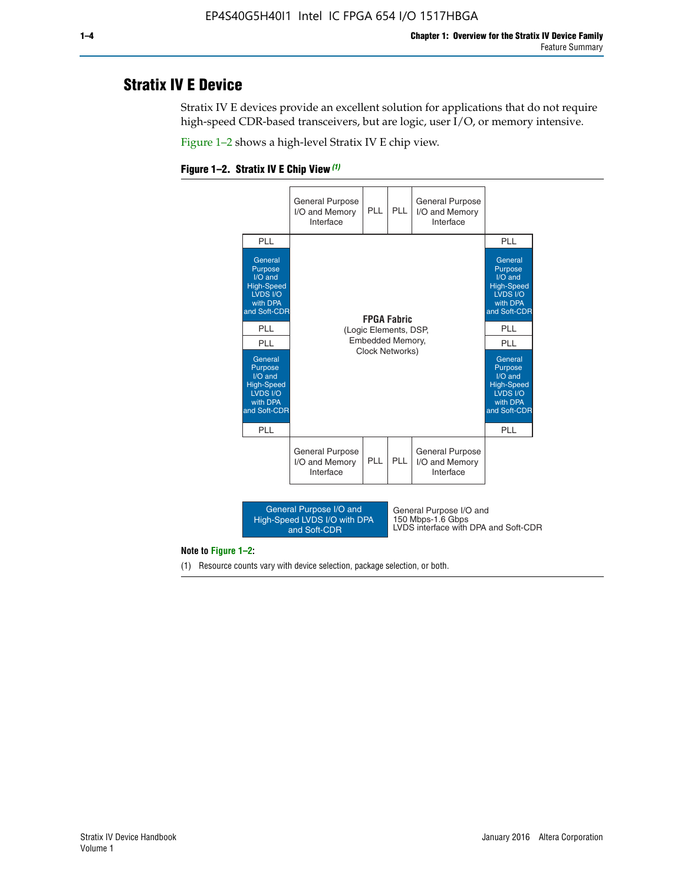# **Stratix IV E Device**

Stratix IV E devices provide an excellent solution for applications that do not require high-speed CDR-based transceivers, but are logic, user I/O, or memory intensive.

Figure 1–2 shows a high-level Stratix IV E chip view.





#### **Note to Figure 1–2:**

(1) Resource counts vary with device selection, package selection, or both.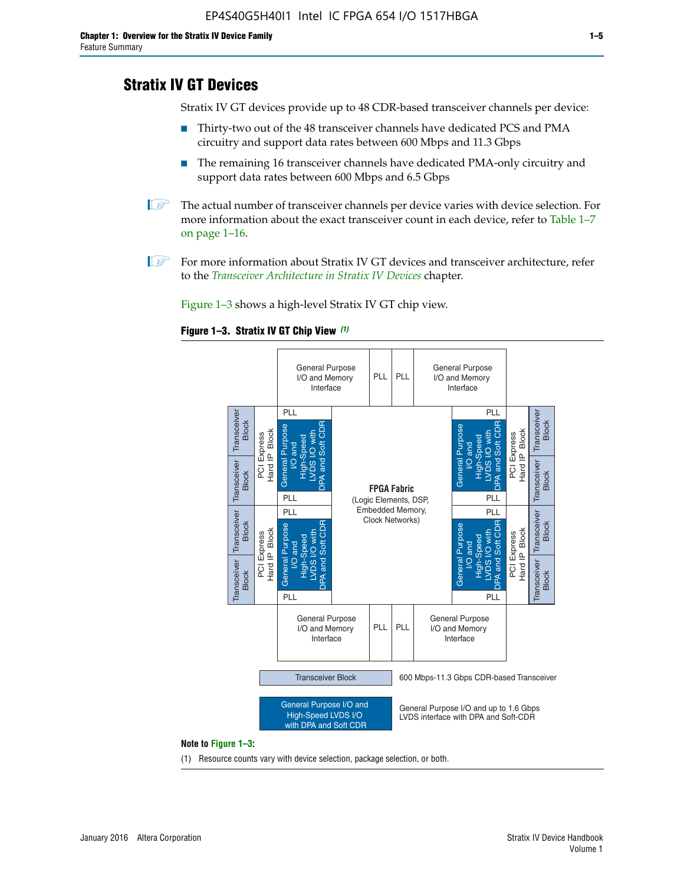# **Stratix IV GT Devices**

Stratix IV GT devices provide up to 48 CDR-based transceiver channels per device:

- Thirty-two out of the 48 transceiver channels have dedicated PCS and PMA circuitry and support data rates between 600 Mbps and 11.3 Gbps
- The remaining 16 transceiver channels have dedicated PMA-only circuitry and support data rates between 600 Mbps and 6.5 Gbps
- **1** The actual number of transceiver channels per device varies with device selection. For more information about the exact transceiver count in each device, refer to Table 1–7 on page 1–16.
- $\mathbb{I}$  For more information about Stratix IV GT devices and transceiver architecture, refer to the *[Transceiver Architecture in Stratix IV Devices](http://www.altera.com/literature/hb/stratix-iv/stx4_siv52001.pdf)* chapter.

Figure 1–3 shows a high-level Stratix IV GT chip view.

#### **Figure 1–3. Stratix IV GT Chip View** *(1)*



#### **Note to Figure 1–3:**

(1) Resource counts vary with device selection, package selection, or both.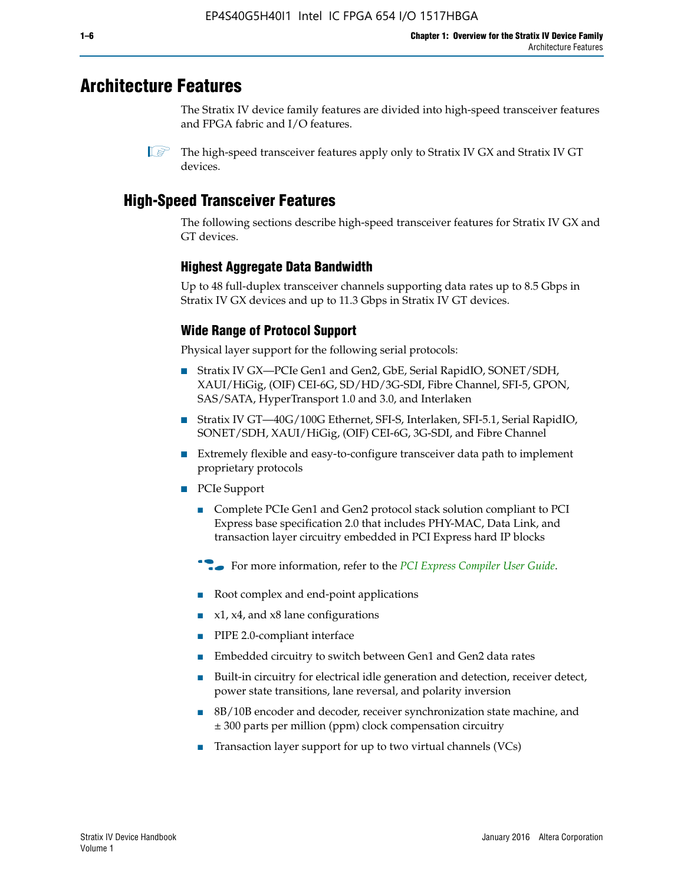# **Architecture Features**

The Stratix IV device family features are divided into high-speed transceiver features and FPGA fabric and I/O features.

 $\mathbb{I}$  The high-speed transceiver features apply only to Stratix IV GX and Stratix IV GT devices.

# **High-Speed Transceiver Features**

The following sections describe high-speed transceiver features for Stratix IV GX and GT devices.

## **Highest Aggregate Data Bandwidth**

Up to 48 full-duplex transceiver channels supporting data rates up to 8.5 Gbps in Stratix IV GX devices and up to 11.3 Gbps in Stratix IV GT devices.

# **Wide Range of Protocol Support**

Physical layer support for the following serial protocols:

- Stratix IV GX—PCIe Gen1 and Gen2, GbE, Serial RapidIO, SONET/SDH, XAUI/HiGig, (OIF) CEI-6G, SD/HD/3G-SDI, Fibre Channel, SFI-5, GPON, SAS/SATA, HyperTransport 1.0 and 3.0, and Interlaken
- Stratix IV GT—40G/100G Ethernet, SFI-S, Interlaken, SFI-5.1, Serial RapidIO, SONET/SDH, XAUI/HiGig, (OIF) CEI-6G, 3G-SDI, and Fibre Channel
- Extremely flexible and easy-to-configure transceiver data path to implement proprietary protocols
- PCIe Support
	- Complete PCIe Gen1 and Gen2 protocol stack solution compliant to PCI Express base specification 2.0 that includes PHY-MAC, Data Link, and transaction layer circuitry embedded in PCI Express hard IP blocks
	- **For more information, refer to the [PCI Express Compiler User Guide](http://www.altera.com/literature/ug/ug_pci_express.pdf).**
	- Root complex and end-point applications
	- $x1, x4,$  and  $x8$  lane configurations
	- PIPE 2.0-compliant interface
	- Embedded circuitry to switch between Gen1 and Gen2 data rates
	- Built-in circuitry for electrical idle generation and detection, receiver detect, power state transitions, lane reversal, and polarity inversion
	- 8B/10B encoder and decoder, receiver synchronization state machine, and ± 300 parts per million (ppm) clock compensation circuitry
	- Transaction layer support for up to two virtual channels (VCs)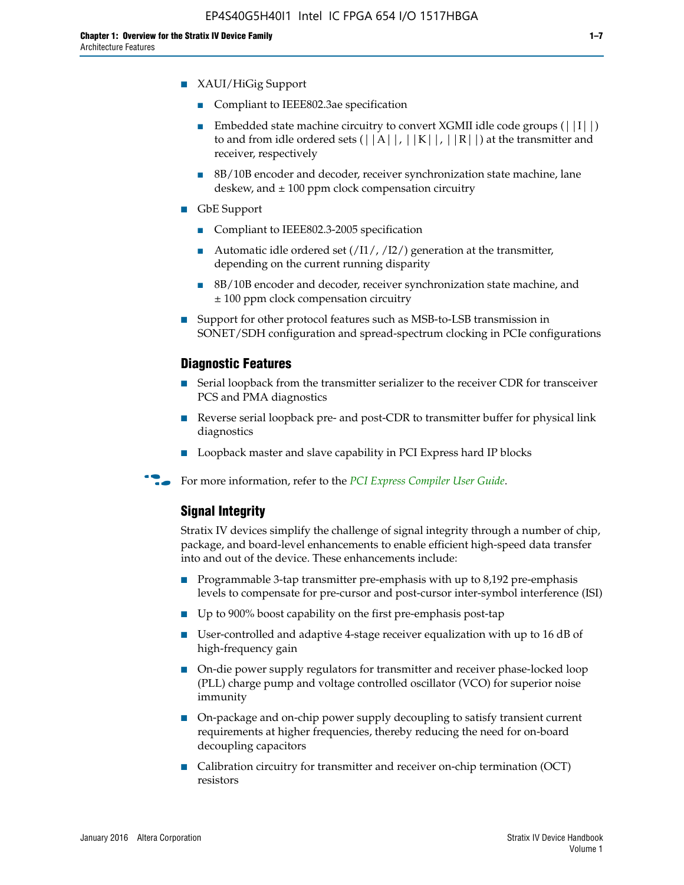- XAUI/HiGig Support
	- Compliant to IEEE802.3ae specification
	- **■** Embedded state machine circuitry to convert XGMII idle code groups  $(|11|)$ to and from idle ordered sets  $(|A|, |K|, |R|)$  at the transmitter and receiver, respectively
	- 8B/10B encoder and decoder, receiver synchronization state machine, lane deskew, and  $\pm$  100 ppm clock compensation circuitry
- GbE Support
	- Compliant to IEEE802.3-2005 specification
	- Automatic idle ordered set  $(111/112/1)$  generation at the transmitter, depending on the current running disparity
	- 8B/10B encoder and decoder, receiver synchronization state machine, and ± 100 ppm clock compensation circuitry
- Support for other protocol features such as MSB-to-LSB transmission in SONET/SDH configuration and spread-spectrum clocking in PCIe configurations

#### **Diagnostic Features**

- Serial loopback from the transmitter serializer to the receiver CDR for transceiver PCS and PMA diagnostics
- Reverse serial loopback pre- and post-CDR to transmitter buffer for physical link diagnostics
- Loopback master and slave capability in PCI Express hard IP blocks
- **For more information, refer to the** *[PCI Express Compiler User Guide](http://www.altera.com/literature/ug/ug_pci_express.pdf)***.**

## **Signal Integrity**

Stratix IV devices simplify the challenge of signal integrity through a number of chip, package, and board-level enhancements to enable efficient high-speed data transfer into and out of the device. These enhancements include:

- Programmable 3-tap transmitter pre-emphasis with up to 8,192 pre-emphasis levels to compensate for pre-cursor and post-cursor inter-symbol interference (ISI)
- Up to 900% boost capability on the first pre-emphasis post-tap
- User-controlled and adaptive 4-stage receiver equalization with up to 16 dB of high-frequency gain
- On-die power supply regulators for transmitter and receiver phase-locked loop (PLL) charge pump and voltage controlled oscillator (VCO) for superior noise immunity
- On-package and on-chip power supply decoupling to satisfy transient current requirements at higher frequencies, thereby reducing the need for on-board decoupling capacitors
- Calibration circuitry for transmitter and receiver on-chip termination (OCT) resistors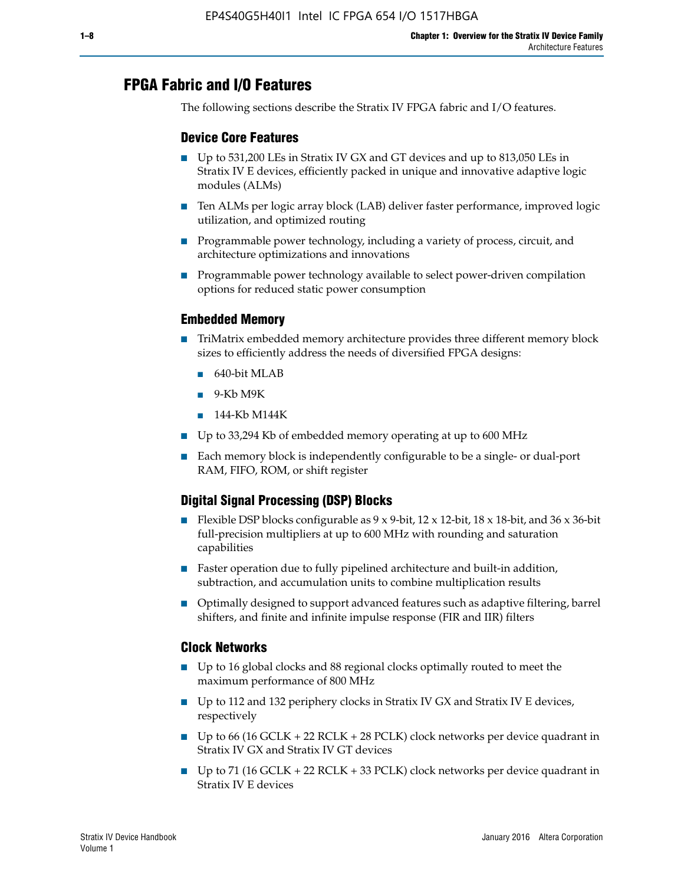# **FPGA Fabric and I/O Features**

The following sections describe the Stratix IV FPGA fabric and I/O features.

## **Device Core Features**

- Up to 531,200 LEs in Stratix IV GX and GT devices and up to 813,050 LEs in Stratix IV E devices, efficiently packed in unique and innovative adaptive logic modules (ALMs)
- Ten ALMs per logic array block (LAB) deliver faster performance, improved logic utilization, and optimized routing
- Programmable power technology, including a variety of process, circuit, and architecture optimizations and innovations
- Programmable power technology available to select power-driven compilation options for reduced static power consumption

## **Embedded Memory**

- TriMatrix embedded memory architecture provides three different memory block sizes to efficiently address the needs of diversified FPGA designs:
	- 640-bit MLAB
	- 9-Kb M9K
	- 144-Kb M144K
- Up to 33,294 Kb of embedded memory operating at up to 600 MHz
- Each memory block is independently configurable to be a single- or dual-port RAM, FIFO, ROM, or shift register

# **Digital Signal Processing (DSP) Blocks**

- Flexible DSP blocks configurable as  $9 \times 9$ -bit,  $12 \times 12$ -bit,  $18 \times 18$ -bit, and  $36 \times 36$ -bit full-precision multipliers at up to 600 MHz with rounding and saturation capabilities
- Faster operation due to fully pipelined architecture and built-in addition, subtraction, and accumulation units to combine multiplication results
- Optimally designed to support advanced features such as adaptive filtering, barrel shifters, and finite and infinite impulse response (FIR and IIR) filters

#### **Clock Networks**

- Up to 16 global clocks and 88 regional clocks optimally routed to meet the maximum performance of 800 MHz
- Up to 112 and 132 periphery clocks in Stratix IV GX and Stratix IV E devices, respectively
- Up to 66 (16 GCLK + 22 RCLK + 28 PCLK) clock networks per device quadrant in Stratix IV GX and Stratix IV GT devices
- Up to 71 (16 GCLK + 22 RCLK + 33 PCLK) clock networks per device quadrant in Stratix IV E devices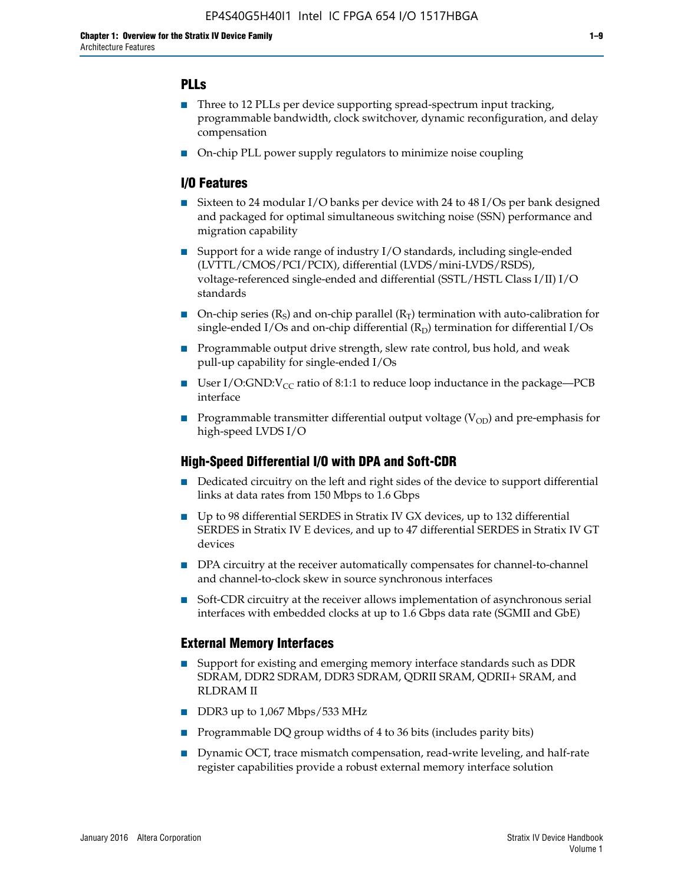# **PLLs**

- Three to 12 PLLs per device supporting spread-spectrum input tracking, programmable bandwidth, clock switchover, dynamic reconfiguration, and delay compensation
- On-chip PLL power supply regulators to minimize noise coupling

## **I/O Features**

- Sixteen to 24 modular I/O banks per device with 24 to 48 I/Os per bank designed and packaged for optimal simultaneous switching noise (SSN) performance and migration capability
- Support for a wide range of industry I/O standards, including single-ended (LVTTL/CMOS/PCI/PCIX), differential (LVDS/mini-LVDS/RSDS), voltage-referenced single-ended and differential (SSTL/HSTL Class I/II) I/O standards
- **O**n-chip series  $(R_S)$  and on-chip parallel  $(R_T)$  termination with auto-calibration for single-ended I/Os and on-chip differential  $(R_D)$  termination for differential I/Os
- Programmable output drive strength, slew rate control, bus hold, and weak pull-up capability for single-ended I/Os
- User I/O:GND: $V_{CC}$  ratio of 8:1:1 to reduce loop inductance in the package—PCB interface
- **■** Programmable transmitter differential output voltage ( $V_{OD}$ ) and pre-emphasis for high-speed LVDS I/O

## **High-Speed Differential I/O with DPA and Soft-CDR**

- Dedicated circuitry on the left and right sides of the device to support differential links at data rates from 150 Mbps to 1.6 Gbps
- Up to 98 differential SERDES in Stratix IV GX devices, up to 132 differential SERDES in Stratix IV E devices, and up to 47 differential SERDES in Stratix IV GT devices
- DPA circuitry at the receiver automatically compensates for channel-to-channel and channel-to-clock skew in source synchronous interfaces
- Soft-CDR circuitry at the receiver allows implementation of asynchronous serial interfaces with embedded clocks at up to 1.6 Gbps data rate (SGMII and GbE)

## **External Memory Interfaces**

- Support for existing and emerging memory interface standards such as DDR SDRAM, DDR2 SDRAM, DDR3 SDRAM, QDRII SRAM, QDRII+ SRAM, and RLDRAM II
- DDR3 up to 1,067 Mbps/533 MHz
- Programmable DQ group widths of 4 to 36 bits (includes parity bits)
- Dynamic OCT, trace mismatch compensation, read-write leveling, and half-rate register capabilities provide a robust external memory interface solution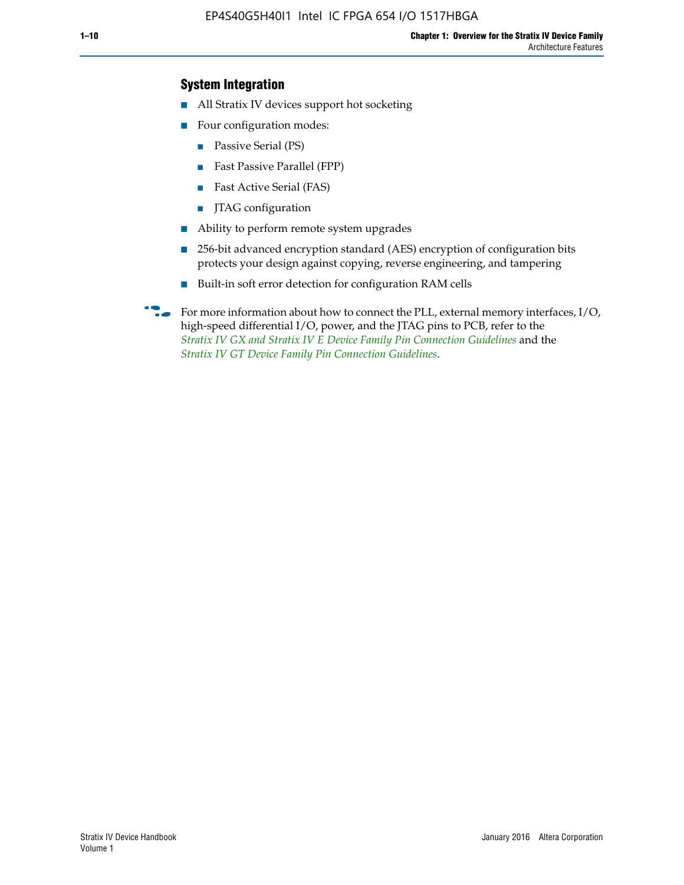## **System Integration**

- All Stratix IV devices support hot socketing
- Four configuration modes:
	- Passive Serial (PS)
	- Fast Passive Parallel (FPP)
	- Fast Active Serial (FAS)
	- JTAG configuration
- Ability to perform remote system upgrades
- 256-bit advanced encryption standard (AES) encryption of configuration bits protects your design against copying, reverse engineering, and tampering
- Built-in soft error detection for configuration RAM cells
- For more information about how to connect the PLL, external memory interfaces,  $I/O$ , high-speed differential I/O, power, and the JTAG pins to PCB, refer to the *[Stratix IV GX and Stratix IV E Device Family Pin Connection Guidelines](http://www.altera.com/literature/dp/stratix4/PCG-01005.pdf)* and the *[Stratix IV GT Device Family Pin Connection Guidelines](http://www.altera.com/literature/dp/stratix4/PCG-01006.pdf)*.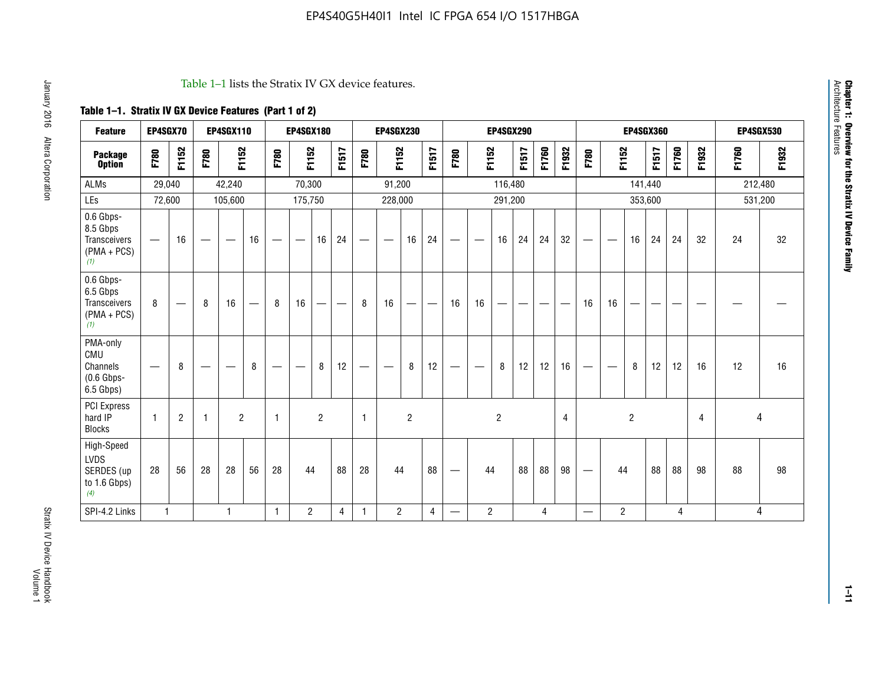#### Table 1–1 lists the Stratix IV GX device features.

# **Table 1–1. Stratix IV GX Device Features (Part 1 of 2)**

| <b>Feature</b>                                                       | EP4SGX70                       |                |                                  | <b>EP4SGX110</b> |    |                                | <b>EP4SGX180</b>               |                |       |              | <b>EP4SGX230</b>         |                          |                               |      |                | <b>EP4SGX290</b> |       |       |       |                          |                   |                | <b>EP4SGX360</b> |       |       |         | <b>EP4SGX530</b> |
|----------------------------------------------------------------------|--------------------------------|----------------|----------------------------------|------------------|----|--------------------------------|--------------------------------|----------------|-------|--------------|--------------------------|--------------------------|-------------------------------|------|----------------|------------------|-------|-------|-------|--------------------------|-------------------|----------------|------------------|-------|-------|---------|------------------|
| <b>Package</b><br><b>Option</b>                                      | F780                           | F1152          | F780                             | F1152            |    | F780                           | F1152                          |                | F1517 | F780         | F1152                    |                          | F1517                         | F780 | F1152          |                  | F1517 | F1760 | F1932 | F780                     | F1152             |                | F1517            | F1760 | F1932 | F1760   | F1932            |
| ALMs                                                                 | 29,040                         |                |                                  | 42,240           |    |                                | 70,300                         |                |       |              | 91,200                   |                          |                               |      |                | 116,480          |       |       |       |                          |                   |                | 141,440          |       |       | 212,480 |                  |
| LEs                                                                  | 72,600                         |                |                                  | 105,600          |    |                                | 175,750                        |                |       |              | 228,000                  |                          |                               |      |                | 291,200          |       |       |       |                          |                   |                | 353,600          |       |       |         | 531,200          |
| 0.6 Gbps-<br>8.5 Gbps<br>Transceivers<br>$(PMA + PCs)$<br>(1)        | $\overline{\phantom{0}}$       | 16             |                                  |                  | 16 |                                | $\qquad \qquad \longleftarrow$ | 16             | 24    |              |                          | 16                       | 24                            |      |                | 16               | 24    | 24    | 32    | $\overline{\phantom{0}}$ |                   | 16             | 24               | 24    | 32    | 24      | 32               |
| 0.6 Gbps-<br>6.5 Gbps<br><b>Transceivers</b><br>$(PMA + PCs)$<br>(1) | 8                              |                | 8                                | 16               | –  | 8                              | 16                             | -              |       | 8            | 16                       | $\overline{\phantom{0}}$ | $\overbrace{\phantom{aaaaa}}$ | 16   | 16             |                  | -     |       |       | 16                       | 16                |                |                  |       |       |         |                  |
| PMA-only<br>CMU<br>Channels<br>$(0.6$ Gbps-<br>6.5 Gbps)             | $\qquad \qquad \longleftarrow$ | 8              | $\overbrace{\phantom{12322111}}$ |                  | 8  | $\qquad \qquad \longleftarrow$ |                                | 8              | 12    | -            | $\overline{\phantom{a}}$ | 8                        | 12                            |      |                | 8                | 12    | 12    | 16    | $\overline{\phantom{0}}$ | $\hspace{0.05cm}$ | 8              | 12               | 12    | 16    | 12      | 16               |
| PCI Express<br>hard IP<br><b>Blocks</b>                              | $\mathbf{1}$                   | $\overline{2}$ |                                  | $\overline{2}$   |    | 1                              |                                | $\overline{2}$ |       | $\mathbf{1}$ |                          | $\overline{c}$           |                               |      |                | $\overline{c}$   |       |       | 4     |                          |                   | $\overline{2}$ |                  |       | 4     |         | 4                |
| High-Speed<br>LVDS<br>SERDES (up<br>to 1.6 Gbps)<br>(4)              | 28                             | 56             | 28                               | 28               | 56 | 28                             | 44                             |                | 88    | 28           | 44                       |                          | 88                            | —    | 44             |                  | 88    | 88    | 98    |                          | 44                |                | 88               | 88    | 98    | 88      | 98               |
| SPI-4.2 Links                                                        | $\mathbf{1}$                   |                |                                  | 1                |    | $\mathbf{1}$                   | $\overline{c}$                 |                | 4     | 1            | $\overline{c}$           |                          | $\overline{4}$                | —    | $\overline{2}$ |                  |       | 4     |       | $\overline{\phantom{0}}$ | $\overline{2}$    |                |                  | 4     |       |         | 4                |

**Chapter 1: Overview for the Stratix IV Device Family**

**Chapter 1: Overview for the Stratix IV Device Family**<br>Architecture Features

Architecture Features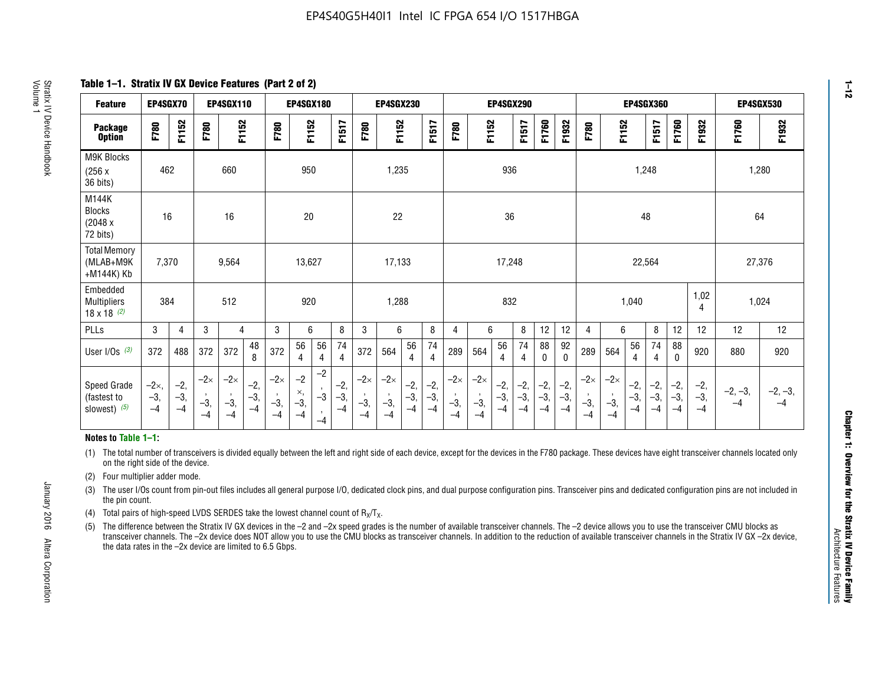**Table 1–1. Stratix IV GX Device Features (Part 2 of 2)**

| <b>Feature</b>                                       | EP4SGX70                |                        |                             | <b>EP4SGX110</b>            |                      |                             | <b>EP4SGX180</b>          |                                              |                        |                             | <b>EP4SGX230</b>            |                        |                      |                             |                             | EP4SGX290              |                      |                        |                        |                             |                             |                        | <b>EP4SGX360</b>     |                        |                        | <b>EP4SGX530</b>  |                   |
|------------------------------------------------------|-------------------------|------------------------|-----------------------------|-----------------------------|----------------------|-----------------------------|---------------------------|----------------------------------------------|------------------------|-----------------------------|-----------------------------|------------------------|----------------------|-----------------------------|-----------------------------|------------------------|----------------------|------------------------|------------------------|-----------------------------|-----------------------------|------------------------|----------------------|------------------------|------------------------|-------------------|-------------------|
| <b>Package</b><br><b>Option</b>                      | F780                    | F1152                  | F780                        | F1152                       |                      | F780                        | F1152                     |                                              | F1517                  | F780                        | F1152                       |                        | F1517                | F780                        | F1152                       |                        | F1517                | F1760                  | F1932                  | F780                        | F1152                       |                        | F1517                | F1760                  | F1932                  | F1760             | F1932             |
| M9K Blocks<br>(256x)<br>36 bits)                     | 462                     |                        |                             | 660                         |                      |                             | 950                       |                                              |                        |                             | 1,235                       |                        |                      |                             |                             | 936                    |                      |                        |                        |                             |                             | 1,248                  |                      |                        |                        | 1,280             |                   |
| M144K<br>Blocks<br>(2048 x<br>72 bits)               | 16                      |                        |                             | 16                          |                      |                             | 20                        |                                              |                        |                             | 22                          |                        |                      |                             |                             | 36                     |                      |                        |                        |                             |                             | 48                     |                      |                        |                        | 64                |                   |
| <b>Total Memory</b><br>(MLAB+M9K<br>+M144K) Kb       | 7,370                   |                        |                             | 9,564                       |                      |                             | 13,627                    |                                              |                        |                             | 17,133                      |                        |                      |                             |                             | 17,248                 |                      |                        |                        |                             |                             | 22,564                 |                      |                        |                        | 27,376            |                   |
| Embedded<br><b>Multipliers</b><br>$18 \times 18$ (2) | 384                     |                        |                             | 512                         |                      |                             | 920                       |                                              |                        |                             | 1,288                       |                        |                      |                             |                             | 832                    |                      |                        |                        |                             |                             | 1,040                  |                      |                        | 1,02<br>4              | 1,024             |                   |
| PLLs                                                 | 3                       | 4                      | 3                           | 4                           |                      | 3                           | 6                         |                                              | 8                      | 3                           | 6                           |                        | 8                    | 4                           | 6                           |                        | 8                    | 12                     | 12                     | 4                           | 6                           |                        | 8                    | 12                     | 12                     | 12                | 12                |
| User I/Os $(3)$                                      | 372                     | 488                    | 372                         | 372                         | 48<br>8              | 372                         | 56<br>4                   | 56<br>4                                      | 74<br>$\overline{4}$   | 372                         | 564                         | 56<br>4                | 74<br>$\overline{4}$ | 289                         | 564                         | 56<br>4                | 74<br>4              | 88<br>0                | 92<br>$\mathbf 0$      | 289                         | 564                         | 56<br>4                | 74<br>4              | 88<br>0                | 920                    | 880               | 920               |
| Speed Grade<br>(fastest to<br>slowest) (5)           | $-2x,$<br>$-3,$<br>$-4$ | $-2,$<br>$-3,$<br>$-4$ | $-2\times$<br>$-3,$<br>$-4$ | $-2\times$<br>$-3,$<br>$-4$ | $-2,$<br>-3,<br>$-4$ | $-2\times$<br>$-3,$<br>$-4$ | $-2$<br>×,<br>$-3,$<br>-4 | $-2$<br>$\,$<br>$-3$<br>$\mathbf{r}$<br>$-4$ | $-2,$<br>$-3,$<br>$-4$ | $-2\times$<br>$-3,$<br>$-4$ | $-2\times$<br>$-3,$<br>$-4$ | $-2,$<br>$-3,$<br>$-4$ | $-2,$<br>-3,<br>$-4$ | $-2\times$<br>$-3,$<br>$-4$ | $-2\times$<br>$-3,$<br>$-4$ | $-2,$<br>$-3,$<br>$-4$ | $-2,$<br>-3,<br>$-4$ | $-2,$<br>$-3,$<br>$-4$ | $-2,$<br>$-3,$<br>$-4$ | $-2\times$<br>$-3,$<br>$-4$ | $-2\times$<br>$-3,$<br>$-4$ | $-2,$<br>$-3,$<br>$-4$ | $-2,$<br>-3,<br>$-4$ | $-2,$<br>$-3,$<br>$-4$ | $-2,$<br>$-3,$<br>$-4$ | $-2, -3,$<br>$-4$ | $-2, -3,$<br>$-4$ |

#### **Notes to Table 1–1:**

(1) The total number of transceivers is divided equally between the left and right side of each device, except for the devices in the F780 package. These devices have eight transceiver channels located only on the right side of the device.

- (2) Four multiplier adder mode.
- (3) The user I/Os count from pin-out files includes all general purpose I/O, dedicated clock pins, and dual purpose configuration pins. Transceiver pins and dedicated configuration pins are not included in the pin count.
- (4) Total pairs of high-speed LVDS SERDES take the lowest channel count of  $R_X/T_X$ .
- (5) The difference between the Stratix IV GX devices in the –2 and –2x speed grades is the number of available transceiver channels. The –2 device allows you to use the transceiver CMU blocks as transceiver channels. The –2x device does NOT allow you to use the CMU blocks as transceiver channels. In addition to the reduction of available transceiver channels in the Stratix IV GX –2x device, the data rates in the –2x device are limited to 6.5 Gbps.

January 2016 Altera Corporation

Altera Corporation

January 2016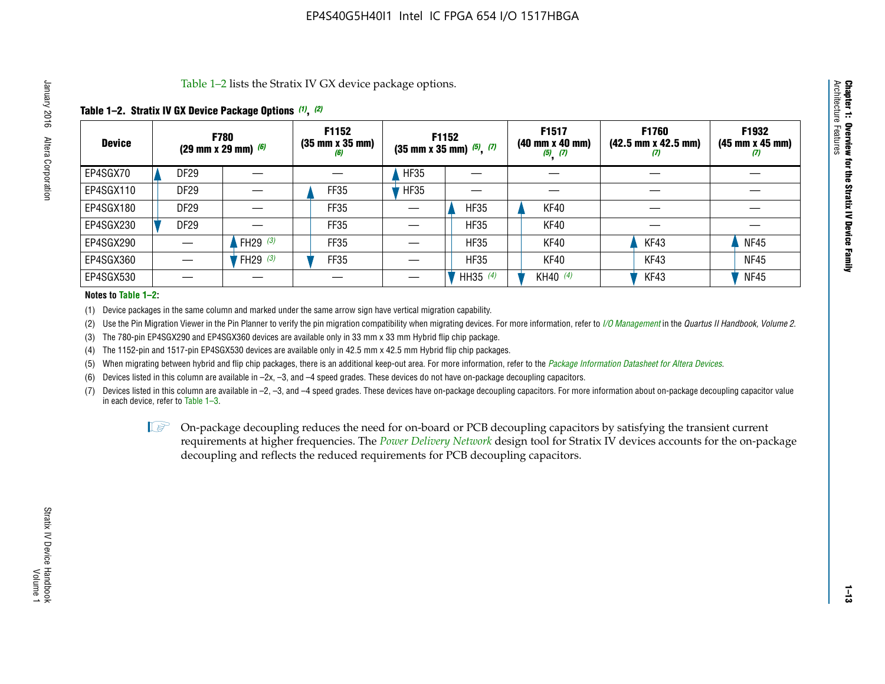Table 1–2 lists the Stratix IV GX device package options.

#### **Table 1–2. Stratix IV GX Device Package Options** *(1)***,** *(2)*

| <b>Device</b> |             | <b>F780</b><br>(29 mm x 29 mm) $(6)$ | F1152<br>$(35 \, \text{mm} \times 35 \, \text{mm})$<br>(6) |             | <b>F1152</b><br>$(35$ mm x 35 mm) $(5)$ , $(7)$ | F1517<br>(40 mm x 40 mm)<br>$(5)$ $(7)$ | F1760<br>$(42.5 \text{ mm} \times 42.5 \text{ mm})$<br>$\boldsymbol{u}$ | F1932<br>$(45 \, \text{mm} \times 45 \, \text{mm})$<br>(7) |
|---------------|-------------|--------------------------------------|------------------------------------------------------------|-------------|-------------------------------------------------|-----------------------------------------|-------------------------------------------------------------------------|------------------------------------------------------------|
| EP4SGX70      | <b>DF29</b> |                                      |                                                            | <b>HF35</b> |                                                 |                                         |                                                                         |                                                            |
| EP4SGX110     | <b>DF29</b> |                                      | <b>FF35</b>                                                | <b>HF35</b> |                                                 |                                         |                                                                         |                                                            |
| EP4SGX180     | DF29        |                                      | FF35                                                       |             | <b>HF35</b>                                     | KF40                                    |                                                                         |                                                            |
| EP4SGX230     | <b>DF29</b> |                                      | FF35                                                       |             | <b>HF35</b>                                     | KF40                                    |                                                                         |                                                            |
| EP4SGX290     |             | FH29 $(3)$                           | FF35                                                       |             | <b>HF35</b>                                     | KF40                                    | KF43                                                                    | <b>NF45</b>                                                |
| EP4SGX360     |             | FH29 $(3)$                           | <b>FF35</b>                                                |             | <b>HF35</b>                                     | KF40                                    | KF43                                                                    | <b>NF45</b>                                                |
| EP4SGX530     |             |                                      |                                                            |             | HH35 $(4)$                                      | KH40 (4)                                | KF43                                                                    | <b>NF45</b>                                                |

#### **Notes to Table 1–2:**

(1) Device packages in the same column and marked under the same arrow sign have vertical migration capability.

(2) Use the Pin Migration Viewer in the Pin Planner to verify the pin migration compatibility when migrating devices. For more information, refer to *[I/O Management](http://www.altera.com/literature/hb/qts/qts_qii52013.pdf)* in the *Quartus II Handbook, Volume 2*.

(3) The 780-pin EP4SGX290 and EP4SGX360 devices are available only in 33 mm x 33 mm Hybrid flip chip package.

(4) The 1152-pin and 1517-pin EP4SGX530 devices are available only in 42.5 mm x 42.5 mm Hybrid flip chip packages.

(5) When migrating between hybrid and flip chip packages, there is an additional keep-out area. For more information, refer to the *[Package Information Datasheet for Altera Devices](http://www.altera.com/literature/ds/dspkg.pdf)*.

(6) Devices listed in this column are available in –2x, –3, and –4 speed grades. These devices do not have on-package decoupling capacitors.

(7) Devices listed in this column are available in –2, –3, and –4 speed grades. These devices have on-package decoupling capacitors. For more information about on-package decoupling capacitor value in each device, refer to Table 1–3.

 $\mathbb{L}$ s On-package decoupling reduces the need for on-board or PCB decoupling capacitors by satisfying the transient current requirements at higher frequencies. The *[Power Delivery Network](http://www.altera.com/literature/ug/pdn_tool_stxiv.zip)* design tool for Stratix IV devices accounts for the on-package decoupling and reflects the reduced requirements for PCB decoupling capacitors.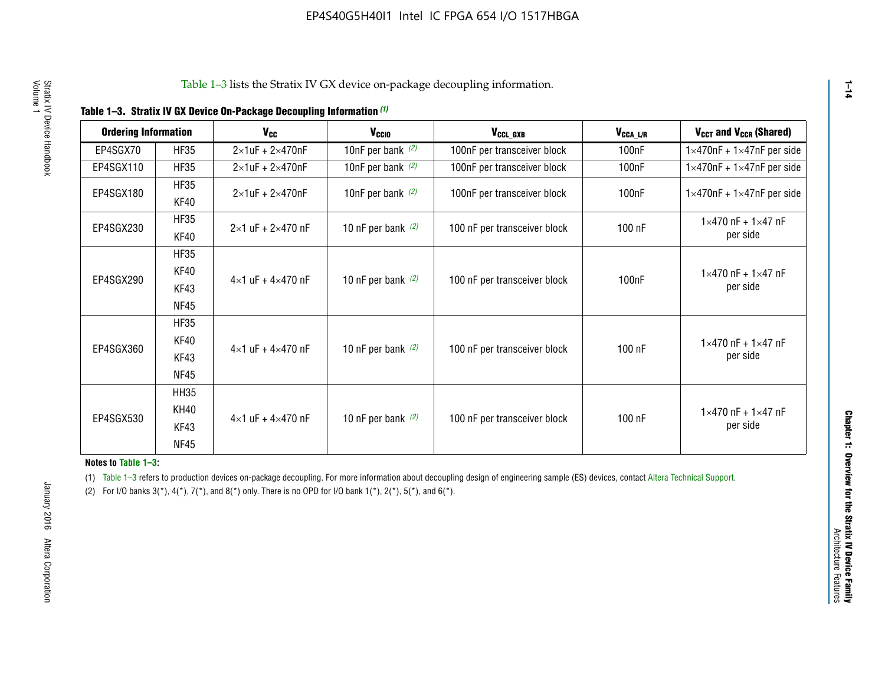|  |  | Table 1-3. Stratix IV GX Device On-Package Decoupling Information (1) |  |  |
|--|--|-----------------------------------------------------------------------|--|--|
|--|--|-----------------------------------------------------------------------|--|--|

| <b>Ordering Information</b> |                     | <b>V<sub>cc</sub></b>               | V <sub>ccio</sub>    | V <sub>CCL GXB</sub>         | V <sub>CCA_L/R</sub> | V <sub>CCT</sub> and V <sub>CCR</sub> (Shared)   |
|-----------------------------|---------------------|-------------------------------------|----------------------|------------------------------|----------------------|--------------------------------------------------|
| EP4SGX70                    | <b>HF35</b>         | $2\times1$ uF + $2\times470$ nF     | 10nF per bank $(2)$  | 100nF per transceiver block  | 100 <sub>n</sub> F   | $1 \times 470$ nF + $1 \times 47$ nF per side    |
| EP4SGX110                   | <b>HF35</b>         | $2\times1$ uF + $2\times470$ nF     | 10nF per bank $(2)$  | 100nF per transceiver block  | 100 <sub>n</sub> F   | $1\times470$ nF + $1\times47$ nF per side        |
| EP4SGX180                   | <b>HF35</b><br>KF40 | $2\times1$ uF + $2\times470$ nF     | 10nF per bank $(2)$  | 100nF per transceiver block  | 100 <sub>n</sub> F   | $1 \times 470$ nF + $1 \times 47$ nF per side    |
| EP4SGX230                   | <b>HF35</b><br>KF40 | $2 \times 1$ uF + $2 \times 470$ nF | 10 nF per bank $(2)$ | 100 nF per transceiver block | 100 nF               | $1 \times 470$ nF + $1 \times 47$ nF<br>per side |
|                             | <b>HF35</b><br>KF40 |                                     |                      |                              |                      | $1 \times 470$ nF + $1 \times 47$ nF             |
| EP4SGX290                   | KF43<br><b>NF45</b> | $4 \times 1$ uF + $4 \times 470$ nF | 10 nF per bank $(2)$ | 100 nF per transceiver block | 100nF                | per side                                         |
|                             | <b>HF35</b><br>KF40 |                                     |                      |                              |                      | $1 \times 470$ nF + $1 \times 47$ nF             |
| EP4SGX360                   | KF43<br><b>NF45</b> | $4 \times 1$ uF + $4 \times 470$ nF | 10 nF per bank $(2)$ | 100 nF per transceiver block | 100 nF               | per side                                         |
|                             | <b>HH35</b>         |                                     |                      |                              |                      |                                                  |
| EP4SGX530                   | <b>KH40</b><br>KF43 | $4 \times 1$ uF + $4 \times 470$ nF | 10 nF per bank $(2)$ | 100 nF per transceiver block | 100 nF               | $1 \times 470$ nF + $1 \times 47$ nF<br>per side |
|                             | <b>NF45</b>         |                                     |                      |                              |                      |                                                  |

**Notes to Table 1–3:**

(1) Table 1-3 refers to production devices on-package decoupling. For more information about decoupling design of engineering sample (ES) devices, contact [Altera Technical Support](http://mysupport.altera.com/eservice/login.asp).

(2) For I/O banks  $3(*)$ ,  $4(*)$ ,  $7(*)$ , and  $8(*)$  only. There is no OPD for I/O bank  $1(*)$ ,  $2(*)$ ,  $5(*)$ , and  $6(*)$ .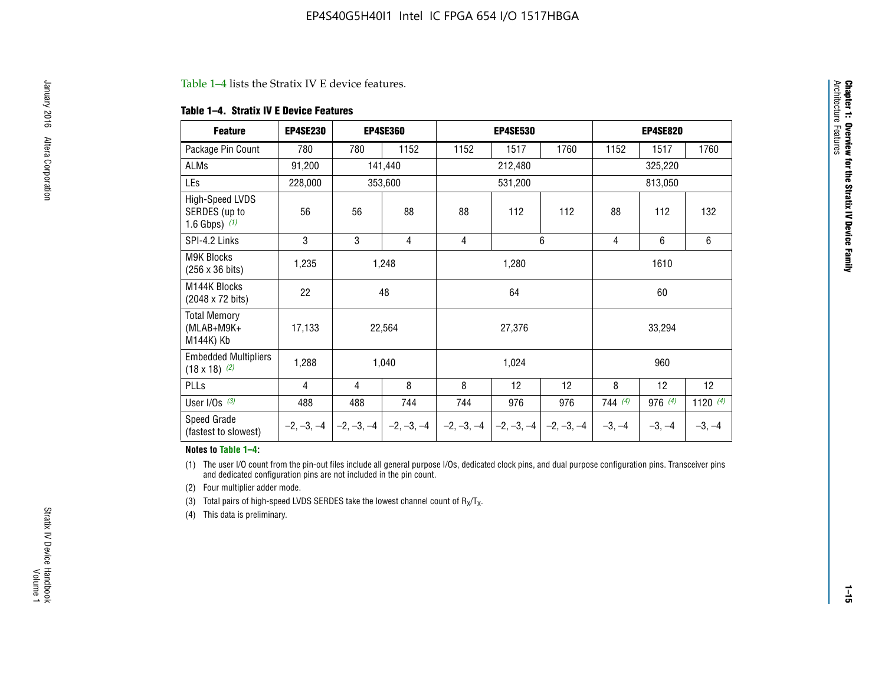#### Table 1–4 lists the Stratix IV E device features.

#### **Table 1–4. Stratix IV E Device Features**

| <b>Feature</b>                                      | <b>EP4SE230</b> |     | <b>EP4SE360</b>                          |              | <b>EP4SE530</b> |              |          | <b>EP4SE820</b> |            |  |
|-----------------------------------------------------|-----------------|-----|------------------------------------------|--------------|-----------------|--------------|----------|-----------------|------------|--|
| Package Pin Count                                   | 780             | 780 | 1152                                     | 1152         | 1517            | 1760         | 1152     | 1517            | 1760       |  |
| ALMs                                                | 91,200          |     | 141,440                                  |              | 212,480         |              |          | 325,220         |            |  |
| LEs                                                 | 228,000         |     | 353,600                                  |              | 531,200         |              |          | 813,050         |            |  |
| High-Speed LVDS<br>SERDES (up to<br>1.6 Gbps) $(1)$ | 56              | 56  | 88                                       | 88           | 112             | 112          | 88       | 112             | 132        |  |
| SPI-4.2 Links                                       | 3               | 3   | 4                                        | 4            |                 | 6            | 4        | 6               | 6          |  |
| <b>M9K Blocks</b><br>(256 x 36 bits)                | 1,235           |     | 1,248                                    |              | 1,280           |              |          | 1610            |            |  |
| M144K Blocks<br>(2048 x 72 bits)                    | 22              |     | 48                                       |              | 64              |              |          | 60              |            |  |
| <b>Total Memory</b><br>$(MLAB+M9K+$<br>M144K) Kb    | 17,133          |     | 22,564                                   |              | 27,376          |              |          | 33,294          |            |  |
| <b>Embedded Multipliers</b><br>$(18 \times 18)$ (2) | 1,288           |     | 1,040                                    |              | 1,024           |              |          | 960             |            |  |
| PLLs                                                | 4               | 4   | 8                                        | 8            | 12              | 12           | 8        | 12              | 12         |  |
| User I/Os $(3)$                                     | 488             | 488 | 744                                      | 744          | 976             | 976          | 744(4)   | 976 (4)         | 1120 $(4)$ |  |
| Speed Grade<br>(fastest to slowest)                 |                 |     | $-2, -3, -4$ $ -2, -3, -4$ $ -2, -3, -4$ | $-2, -3, -4$ | $-2, -3, -4$    | $-2, -3, -4$ | $-3, -4$ | $-3, -4$        | $-3, -4$   |  |

#### **Notes to Table 1–4:**

(1) The user I/O count from the pin-out files include all general purpose I/Os, dedicated clock pins, and dual purpose configuration pins. Transceiver pins and dedicated configuration pins are not included in the pin count.

(2) Four multiplier adder mode.

(3) Total pairs of high-speed LVDS SERDES take the lowest channel count of  $R_X/T_X$ .

(4) This data is preliminary.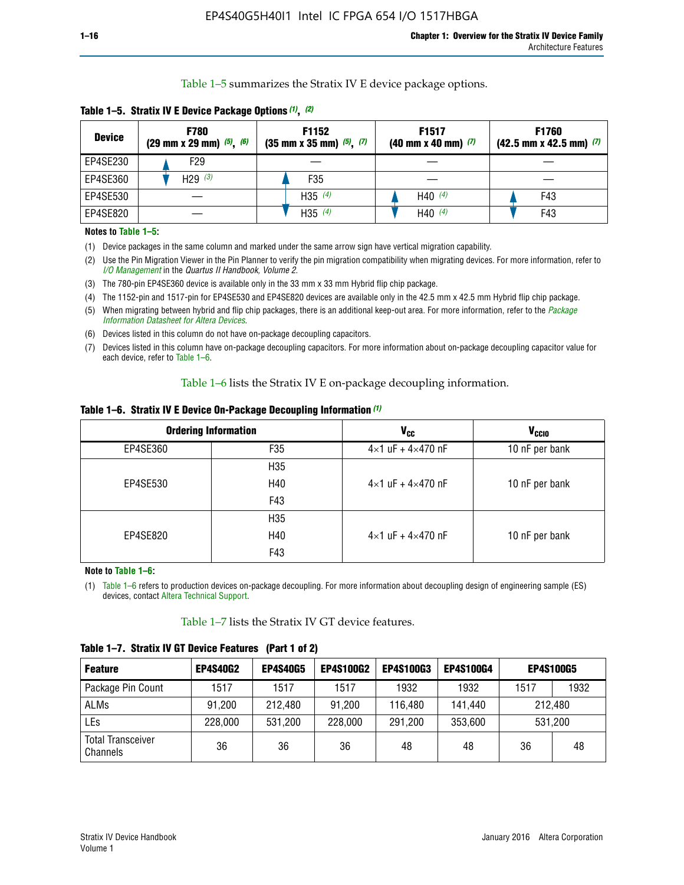Table 1–5 summarizes the Stratix IV E device package options.

| <b>Device</b> | <b>F780</b><br>$(29 \text{ mm} \times 29 \text{ mm})$ $(5)$ , $(6)$ | F1152<br>$(35 \text{ mm} \times 35 \text{ mm})$ $(5)$ $(7)$ | F <sub>1517</sub><br>$(40 \text{ mm} \times 40 \text{ mm})$ (7) | <b>F1760</b><br>$(42.5$ mm x 42.5 mm) $(7)$ |
|---------------|---------------------------------------------------------------------|-------------------------------------------------------------|-----------------------------------------------------------------|---------------------------------------------|
| EP4SE230      | F <sub>29</sub>                                                     |                                                             |                                                                 |                                             |
| EP4SE360      | H29 $(3)$                                                           | F35                                                         |                                                                 |                                             |
| EP4SE530      |                                                                     | H35 $(4)$                                                   | H40 $(4)$                                                       | F43                                         |
| EP4SE820      |                                                                     | H35 $(4)$                                                   | H40 $(4)$                                                       | F43                                         |

**Table 1–5. Stratix IV E Device Package Options** *(1)***,** *(2)*

#### **Notes to Table 1–5:**

(1) Device packages in the same column and marked under the same arrow sign have vertical migration capability.

(2) Use the Pin Migration Viewer in the Pin Planner to verify the pin migration compatibility when migrating devices. For more information, refer to *[I/O Management](http://www.altera.com/literature/hb/qts/qts_qii52013.pdf)* in the *Quartus II Handbook, Volume 2*.

(3) The 780-pin EP4SE360 device is available only in the 33 mm x 33 mm Hybrid flip chip package.

(4) The 1152-pin and 1517-pin for EP4SE530 and EP4SE820 devices are available only in the 42.5 mm x 42.5 mm Hybrid flip chip package.

(5) When migrating between hybrid and flip chip packages, there is an additional keep-out area. For more information, refer to the *[Package](http://www.altera.com/literature/ds/dspkg.pdf)  [Information Datasheet for Altera Devices](http://www.altera.com/literature/ds/dspkg.pdf)*.

(6) Devices listed in this column do not have on-package decoupling capacitors.

(7) Devices listed in this column have on-package decoupling capacitors. For more information about on-package decoupling capacitor value for each device, refer to Table 1–6.

Table 1–6 lists the Stratix IV E on-package decoupling information.

| Table 1–6. Stratix IV E Device On-Package Decoupling Information (1) |  |  |  |  |  |
|----------------------------------------------------------------------|--|--|--|--|--|
|----------------------------------------------------------------------|--|--|--|--|--|

|          | <b>Ordering Information</b> | <b>V<sub>cc</sub></b>               | <b>V<sub>CCIO</sub></b> |
|----------|-----------------------------|-------------------------------------|-------------------------|
| EP4SE360 | F35                         | $4 \times 1$ uF + $4 \times 470$ nF | 10 nF per bank          |
|          | H <sub>35</sub>             |                                     |                         |
| EP4SE530 | H40                         | $4 \times 1$ uF + $4 \times 470$ nF | 10 nF per bank          |
|          | F43                         |                                     |                         |
|          | H <sub>35</sub>             |                                     |                         |
| EP4SE820 | H40                         | $4 \times 1$ uF + $4 \times 470$ nF | 10 nF per bank          |
|          | F43                         |                                     |                         |

**Note to Table 1–6:**

(1) Table 1–6 refers to production devices on-package decoupling. For more information about decoupling design of engineering sample (ES) devices, contact [Altera Technical Support](http://mysupport.altera.com/eservice/login.asp).

Table 1–7 lists the Stratix IV GT device features.

| <b>Feature</b>                       | <b>EP4S40G2</b> | <b>EP4S40G5</b> | <b>EP4S100G2</b> | <b>EP4S100G3</b> | <b>EP4S100G4</b> | <b>EP4S100G5</b> |         |
|--------------------------------------|-----------------|-----------------|------------------|------------------|------------------|------------------|---------|
| Package Pin Count                    | 1517            | 1517            | 1517             | 1932             | 1932             | 1517             | 1932    |
| <b>ALMs</b>                          | 91,200          | 212,480         | 91,200           | 116,480          | 141,440          |                  | 212.480 |
| LEs                                  | 228,000         | 531,200         | 228,000          | 291,200          | 353,600          |                  | 531,200 |
| <b>Total Transceiver</b><br>Channels | 36              | 36              | 36               | 48               | 48               | 36               | 48      |

**Table 1–7. Stratix IV GT Device Features (Part 1 of 2)**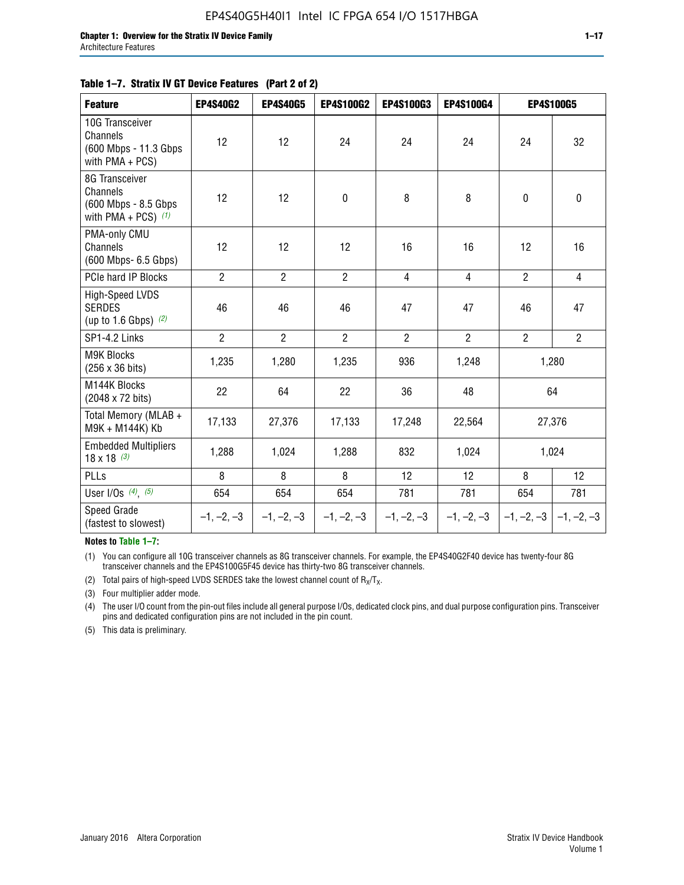#### **Table 1–7. Stratix IV GT Device Features (Part 2 of 2)**

| <b>Feature</b>                                                              | <b>EP4S40G2</b> | <b>EP4S40G5</b> | <b>EP4S100G2</b> | <b>EP4S100G3</b> | <b>EP4S100G4</b> | <b>EP4S100G5</b> |                           |
|-----------------------------------------------------------------------------|-----------------|-----------------|------------------|------------------|------------------|------------------|---------------------------|
| 10G Transceiver<br>Channels<br>(600 Mbps - 11.3 Gbps<br>with PMA + PCS)     | 12              | 12              | 24               | 24               | 24               | 24               | 32                        |
| 8G Transceiver<br>Channels<br>(600 Mbps - 8.5 Gbps<br>with PMA + PCS) $(1)$ | 12              | 12              | $\pmb{0}$        | 8                | 8                | $\mathbf 0$      | 0                         |
| PMA-only CMU<br>Channels<br>(600 Mbps- 6.5 Gbps)                            | 12              | 12              | 12               | 16               | 16               | 12               | 16                        |
| PCIe hard IP Blocks                                                         | $\overline{2}$  | $\overline{2}$  | $\overline{2}$   | $\overline{4}$   | $\overline{4}$   | $\overline{2}$   | $\overline{4}$            |
| <b>High-Speed LVDS</b><br><b>SERDES</b><br>(up to 1.6 Gbps) $(2)$           | 46              | 46              | 46               | 47               | 47               | 46               | 47                        |
| SP1-4.2 Links                                                               | $\overline{2}$  | $\overline{2}$  | $\overline{2}$   | $\overline{2}$   | $\overline{2}$   | $\overline{2}$   | $\overline{2}$            |
| <b>M9K Blocks</b><br>(256 x 36 bits)                                        | 1,235           | 1,280           | 1,235            | 936              | 1,248            |                  | 1,280                     |
| M144K Blocks<br>(2048 x 72 bits)                                            | 22              | 64              | 22               | 36               | 48               |                  | 64                        |
| Total Memory (MLAB +<br>M9K + M144K) Kb                                     | 17,133          | 27,376          | 17,133           | 17,248           | 22,564           |                  | 27,376                    |
| <b>Embedded Multipliers</b><br>$18 \times 18^{(3)}$                         | 1,288           | 1,024           | 1,288            | 832              | 1,024            |                  | 1,024                     |
| PLLs                                                                        | 8               | 8               | 8                | 12               | 12               | 8                | 12                        |
| User I/Os $(4)$ , $(5)$                                                     | 654             | 654             | 654              | 781              | 781              | 654              | 781                       |
| Speed Grade<br>(fastest to slowest)                                         | $-1, -2, -3$    | $-1, -2, -3$    | $-1, -2, -3$     | $-1, -2, -3$     | $-1, -2, -3$     |                  | $-1, -2, -3$ $-1, -2, -3$ |

**Notes to Table 1–7:**

(1) You can configure all 10G transceiver channels as 8G transceiver channels. For example, the EP4S40G2F40 device has twenty-four 8G transceiver channels and the EP4S100G5F45 device has thirty-two 8G transceiver channels.

(2) Total pairs of high-speed LVDS SERDES take the lowest channel count of  $R_X/T_X$ .

(3) Four multiplier adder mode.

(4) The user I/O count from the pin-out files include all general purpose I/Os, dedicated clock pins, and dual purpose configuration pins. Transceiver pins and dedicated configuration pins are not included in the pin count.

(5) This data is preliminary.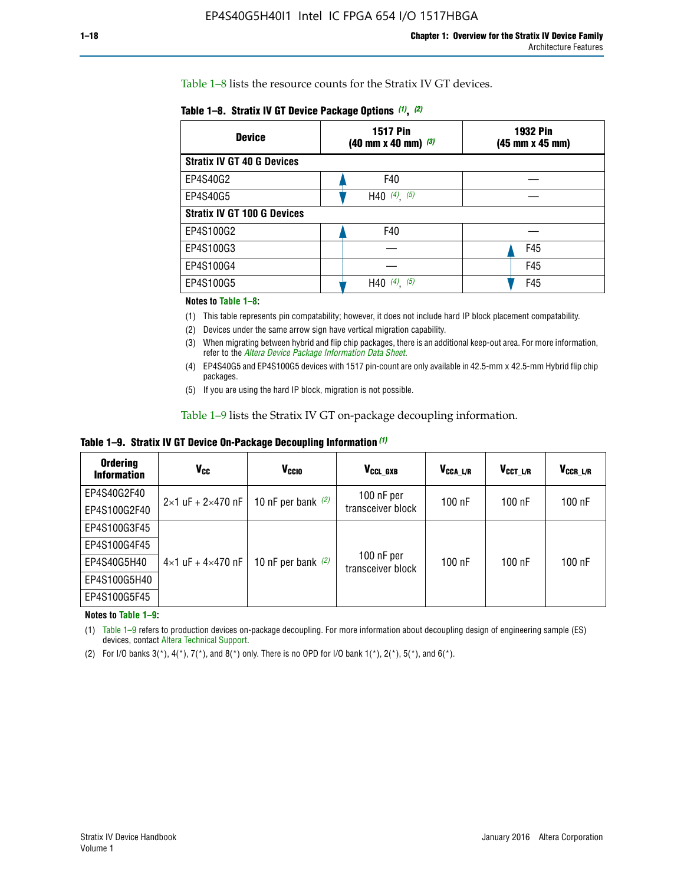Table 1–8 lists the resource counts for the Stratix IV GT devices.

| <b>Device</b>                      | <b>1517 Pin</b><br><b>1932 Pin</b><br>$(40 \text{ mm} \times 40 \text{ mm})$ (3)<br>(45 mm x 45 mm) |     |  |
|------------------------------------|-----------------------------------------------------------------------------------------------------|-----|--|
| <b>Stratix IV GT 40 G Devices</b>  |                                                                                                     |     |  |
| EP4S40G2                           | F40                                                                                                 |     |  |
| EP4S40G5                           | H40 $(4)$ , $(5)$                                                                                   |     |  |
| <b>Stratix IV GT 100 G Devices</b> |                                                                                                     |     |  |
| EP4S100G2                          | F40                                                                                                 |     |  |
| EP4S100G3                          |                                                                                                     | F45 |  |
| EP4S100G4                          |                                                                                                     | F45 |  |
| EP4S100G5                          | (4)<br>(5)<br>H40                                                                                   | F45 |  |

#### **Notes to Table 1–8:**

(1) This table represents pin compatability; however, it does not include hard IP block placement compatability.

- (2) Devices under the same arrow sign have vertical migration capability.
- (3) When migrating between hybrid and flip chip packages, there is an additional keep-out area. For more information, refer to the *[Altera Device Package Information Data Sheet](http://www.altera.com/literature/ds/dspkg.pdf)*.
- (4) EP4S40G5 and EP4S100G5 devices with 1517 pin-count are only available in 42.5-mm x 42.5-mm Hybrid flip chip packages.
- (5) If you are using the hard IP block, migration is not possible.

Table 1–9 lists the Stratix IV GT on-package decoupling information.

**Table 1–9. Stratix IV GT Device On-Package Decoupling Information** *(1)*

| <b>Ordering</b><br><b>Information</b> | Vcc                                 | <b>V<sub>CCIO</sub></b> | V <sub>CCL GXB</sub>            | V <sub>CCA L/R</sub> | V <sub>CCT L/R</sub> | V <sub>CCR_L/R</sub> |
|---------------------------------------|-------------------------------------|-------------------------|---------------------------------|----------------------|----------------------|----------------------|
| EP4S40G2F40                           | $2 \times 1$ uF + $2 \times 470$ nF | 10 nF per bank $(2)$    | 100 nF per<br>transceiver block | $100$ nF             | $100$ nF             | $100$ nF             |
| EP4S100G2F40                          |                                     |                         |                                 |                      |                      |                      |
| EP4S100G3F45                          |                                     | 10 nF per bank $(2)$    | 100 nF per<br>transceiver block | $100$ nF             | $100$ nF             | $100$ nF             |
| EP4S100G4F45                          | $4\times1$ uF + $4\times470$ nF     |                         |                                 |                      |                      |                      |
| EP4S40G5H40                           |                                     |                         |                                 |                      |                      |                      |
| EP4S100G5H40                          |                                     |                         |                                 |                      |                      |                      |
| EP4S100G5F45                          |                                     |                         |                                 |                      |                      |                      |

**Notes to Table 1–9:**

(1) Table 1–9 refers to production devices on-package decoupling. For more information about decoupling design of engineering sample (ES) devices, contact [Altera Technical Support](http://mysupport.altera.com/eservice/login.asp).

(2) For I/O banks  $3(*)$ ,  $4(*)$ ,  $7(*)$ , and  $8(*)$  only. There is no OPD for I/O bank  $1(*)$ ,  $2(*)$ ,  $5(*)$ , and  $6(*)$ .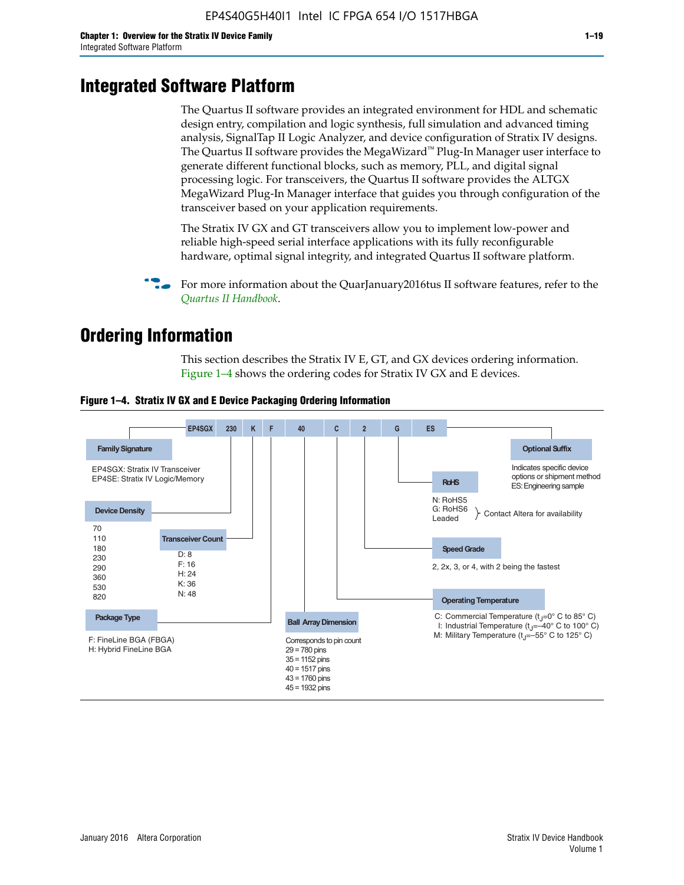# **Integrated Software Platform**

The Quartus II software provides an integrated environment for HDL and schematic design entry, compilation and logic synthesis, full simulation and advanced timing analysis, SignalTap II Logic Analyzer, and device configuration of Stratix IV designs. The Quartus II software provides the MegaWizard<sup> $M$ </sup> Plug-In Manager user interface to generate different functional blocks, such as memory, PLL, and digital signal processing logic. For transceivers, the Quartus II software provides the ALTGX MegaWizard Plug-In Manager interface that guides you through configuration of the transceiver based on your application requirements.

The Stratix IV GX and GT transceivers allow you to implement low-power and reliable high-speed serial interface applications with its fully reconfigurable hardware, optimal signal integrity, and integrated Quartus II software platform.

For more information about the QuarJanuary2016tus II software features, refer to the *[Quartus II Handbook](http://www.altera.com/literature/lit-qts.jsp)*.

# **Ordering Information**

This section describes the Stratix IV E, GT, and GX devices ordering information. Figure 1–4 shows the ordering codes for Stratix IV GX and E devices.



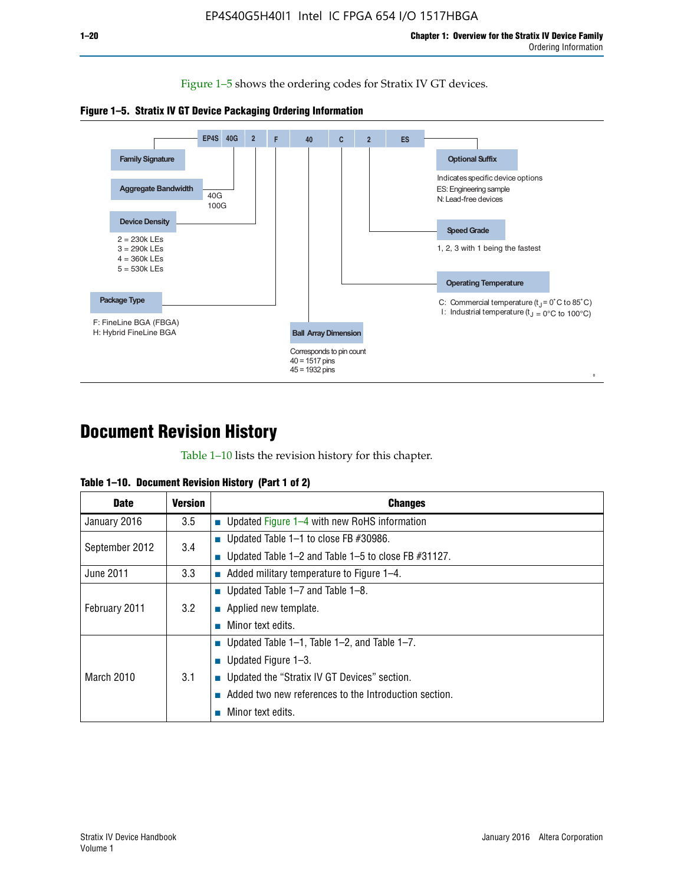Figure 1–5 shows the ordering codes for Stratix IV GT devices.





# **Document Revision History**

Table 1–10 lists the revision history for this chapter.

|  | Table 1–10. Document Revision History (Part 1 of 2) |  |  |
|--|-----------------------------------------------------|--|--|
|--|-----------------------------------------------------|--|--|

| <b>Date</b>       | <b>Version</b> | <b>Changes</b>                                              |
|-------------------|----------------|-------------------------------------------------------------|
| January 2016      | 3.5            | ■ Updated Figure 1–4 with new RoHS information              |
| September 2012    | 3.4            | ■ Updated Table 1–1 to close FB $#30986$ .                  |
|                   |                | Updated Table $1-2$ and Table $1-5$ to close FB $\#31127$ . |
| June 2011         | 3.3            | $\blacksquare$ Added military temperature to Figure 1–4.    |
| February 2011     | 3.2            | ■ Updated Table 1–7 and Table 1–8.                          |
|                   |                | $\blacksquare$ Applied new template.                        |
|                   |                | Minor text edits.                                           |
| <b>March 2010</b> |                | <b>Updated Table 1–1, Table 1–2, and Table 1–7.</b>         |
|                   | 3.1            | <b>U</b> Updated Figure 1–3.                                |
|                   |                | ■ Updated the "Stratix IV GT Devices" section.              |
|                   |                | Added two new references to the Introduction section.       |
|                   |                | Minor text edits.                                           |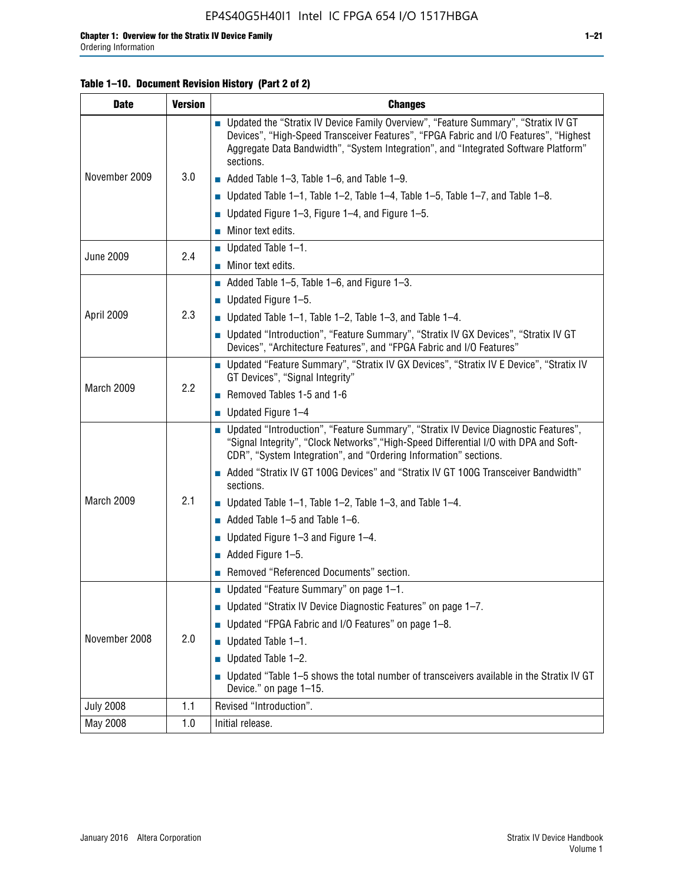## **Table 1–10. Document Revision History (Part 2 of 2)**

| <b>Date</b>      | <b>Version</b> | <b>Changes</b>                                                                                                                                                                                                                                                                    |  |
|------------------|----------------|-----------------------------------------------------------------------------------------------------------------------------------------------------------------------------------------------------------------------------------------------------------------------------------|--|
| November 2009    | 3.0            | ■ Updated the "Stratix IV Device Family Overview", "Feature Summary", "Stratix IV GT<br>Devices", "High-Speed Transceiver Features", "FPGA Fabric and I/O Features", "Highest<br>Aggregate Data Bandwidth", "System Integration", and "Integrated Software Platform"<br>sections. |  |
|                  |                | $\blacksquare$ Added Table 1-3, Table 1-6, and Table 1-9.                                                                                                                                                                                                                         |  |
|                  |                | $\blacksquare$ Updated Table 1-1, Table 1-2, Table 1-4, Table 1-5, Table 1-7, and Table 1-8.                                                                                                                                                                                      |  |
|                  |                | ■ Updated Figure 1–3, Figure 1–4, and Figure 1–5.                                                                                                                                                                                                                                 |  |
|                  |                | $\blacksquare$ Minor text edits.                                                                                                                                                                                                                                                  |  |
| <b>June 2009</b> | 2.4            | $\blacksquare$ Updated Table 1-1.                                                                                                                                                                                                                                                 |  |
|                  |                | Minor text edits.                                                                                                                                                                                                                                                                 |  |
|                  |                | $\blacksquare$ Added Table 1–5, Table 1–6, and Figure 1–3.                                                                                                                                                                                                                        |  |
|                  |                | $\blacksquare$ Updated Figure 1-5.                                                                                                                                                                                                                                                |  |
| April 2009       | 2.3            | Updated Table $1-1$ , Table $1-2$ , Table $1-3$ , and Table $1-4$ .                                                                                                                                                                                                               |  |
|                  |                | ■ Updated "Introduction", "Feature Summary", "Stratix IV GX Devices", "Stratix IV GT<br>Devices", "Architecture Features", and "FPGA Fabric and I/O Features"                                                                                                                     |  |
|                  | 2.2            | ■ Updated "Feature Summary", "Stratix IV GX Devices", "Stratix IV E Device", "Stratix IV<br>GT Devices", "Signal Integrity"                                                                                                                                                       |  |
| March 2009       |                | Removed Tables 1-5 and 1-6                                                                                                                                                                                                                                                        |  |
|                  |                | Updated Figure 1-4                                                                                                                                                                                                                                                                |  |
|                  |                | ■ Updated "Introduction", "Feature Summary", "Stratix IV Device Diagnostic Features",<br>"Signal Integrity", "Clock Networks", "High-Speed Differential I/O with DPA and Soft-<br>CDR", "System Integration", and "Ordering Information" sections.                                |  |
|                  |                | Added "Stratix IV GT 100G Devices" and "Stratix IV GT 100G Transceiver Bandwidth"<br>sections.                                                                                                                                                                                    |  |
| March 2009       | 2.1            | <b>Updated Table 1–1, Table 1–2, Table 1–3, and Table 1–4.</b>                                                                                                                                                                                                                    |  |
|                  |                | $\blacksquare$ Added Table 1-5 and Table 1-6.                                                                                                                                                                                                                                     |  |
|                  |                | ■ Updated Figure $1-3$ and Figure $1-4$ .                                                                                                                                                                                                                                         |  |
|                  |                | $\blacksquare$ Added Figure 1-5.                                                                                                                                                                                                                                                  |  |
|                  |                | Removed "Referenced Documents" section.                                                                                                                                                                                                                                           |  |
| November 2008    |                | Updated "Feature Summary" on page 1-1.                                                                                                                                                                                                                                            |  |
|                  |                | ■ Updated "Stratix IV Device Diagnostic Features" on page 1-7.                                                                                                                                                                                                                    |  |
|                  | 2.0            | Updated "FPGA Fabric and I/O Features" on page 1-8.                                                                                                                                                                                                                               |  |
|                  |                | $\blacksquare$ Updated Table 1-1.                                                                                                                                                                                                                                                 |  |
|                  |                | Updated Table 1-2.                                                                                                                                                                                                                                                                |  |
|                  |                | Updated "Table 1-5 shows the total number of transceivers available in the Stratix IV GT<br>Device." on page 1-15.                                                                                                                                                                |  |
| <b>July 2008</b> | 1.1            | Revised "Introduction".                                                                                                                                                                                                                                                           |  |
| May 2008         | 1.0            | Initial release.                                                                                                                                                                                                                                                                  |  |